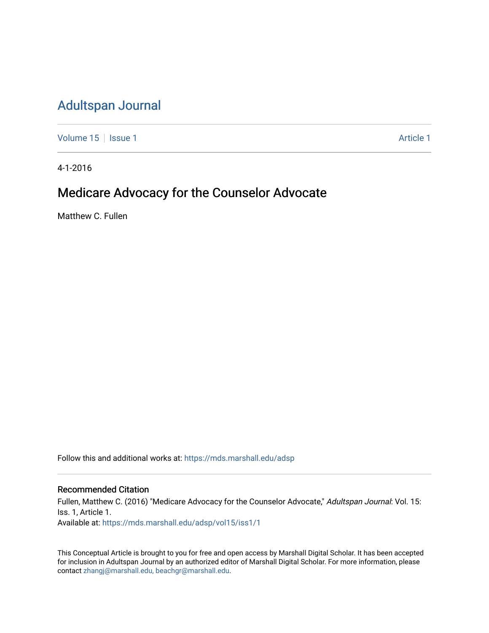# [Adultspan Journal](https://mds.marshall.edu/adsp)

[Volume 15](https://mds.marshall.edu/adsp/vol15) | [Issue 1](https://mds.marshall.edu/adsp/vol15/iss1) Article 1

4-1-2016

# Medicare Advocacy for the Counselor Advocate

Matthew C. Fullen

Follow this and additional works at: [https://mds.marshall.edu/adsp](https://mds.marshall.edu/adsp?utm_source=mds.marshall.edu%2Fadsp%2Fvol15%2Fiss1%2F1&utm_medium=PDF&utm_campaign=PDFCoverPages) 

### Recommended Citation

Fullen, Matthew C. (2016) "Medicare Advocacy for the Counselor Advocate," Adultspan Journal: Vol. 15: Iss. 1, Article 1. Available at: [https://mds.marshall.edu/adsp/vol15/iss1/1](https://mds.marshall.edu/adsp/vol15/iss1/1?utm_source=mds.marshall.edu%2Fadsp%2Fvol15%2Fiss1%2F1&utm_medium=PDF&utm_campaign=PDFCoverPages) 

This Conceptual Article is brought to you for free and open access by Marshall Digital Scholar. It has been accepted for inclusion in Adultspan Journal by an authorized editor of Marshall Digital Scholar. For more information, please contact [zhangj@marshall.edu, beachgr@marshall.edu](mailto:zhangj@marshall.edu,%20beachgr@marshall.edu).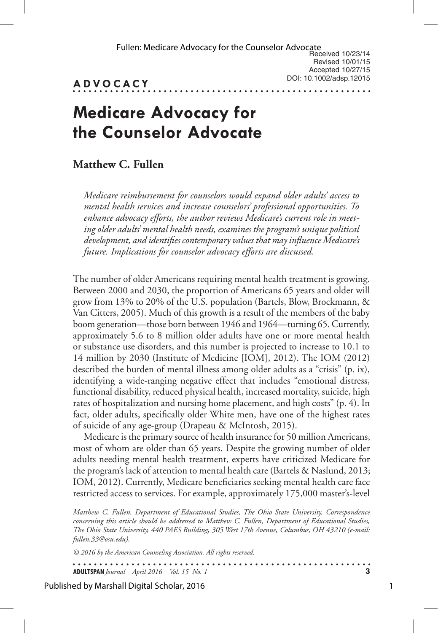# **ADVOCACY**

# **Medicare Advocacy for the Counselor Advocate**

# **Matthew C. Fullen**

*Medicare reimbursement for counselors would expand older adults' access to mental health services and increase counselors' professional opportunities. To enhance advocacy efforts, the author reviews Medicare's current role in meeting older adults' mental health needs, examines the program's unique political development, and identifies contemporary values that may influence Medicare's future. Implications for counselor advocacy efforts are discussed.*

The number of older Americans requiring mental health treatment is growing. Between 2000 and 2030, the proportion of Americans 65 years and older will grow from 13% to 20% of the U.S. population (Bartels, Blow, Brockmann, & Van Citters, 2005). Much of this growth is a result of the members of the baby boom generation—those born between 1946 and 1964—turning 65. Currently, approximately 5.6 to 8 million older adults have one or more mental health or substance use disorders, and this number is projected to increase to 10.1 to 14 million by 2030 (Institute of Medicine [IOM], 2012). The IOM (2012) described the burden of mental illness among older adults as a "crisis" (p. ix), identifying a wide-ranging negative effect that includes "emotional distress, functional disability, reduced physical health, increased mortality, suicide, high rates of hospitalization and nursing home placement, and high costs" (p. 4). In fact, older adults, specifically older White men, have one of the highest rates of suicide of any age-group (Drapeau & McIntosh, 2015).

Medicare is the primary source of health insurance for 50 million Americans, most of whom are older than 65 years. Despite the growing number of older adults needing mental health treatment, experts have criticized Medicare for the program's lack of attention to mental health care (Bartels & Naslund, 2013; IOM, 2012). Currently, Medicare beneficiaries seeking mental health care face restricted access to services. For example, approximately 175,000 master's-level

*Matthew C. Fullen, Department of Educational Studies, The Ohio State University. Correspondence concerning this article should be addressed to Matthew C. Fullen, Department of Educational Studies, The Ohio State University, 440 PAES Building, 305 West 17th Avenue, Columbus, OH 43210 (e-mail: fullen.33@osu.edu).* 

. . . . . . . . . . . . . . . . . .

*© 2016 by the American Counseling Association. All rights reserved.*

**ADULTSPAN***Journal April 2016 Vol. 15 No. 1* **3**

Published by Marshall Digital Scholar, 2016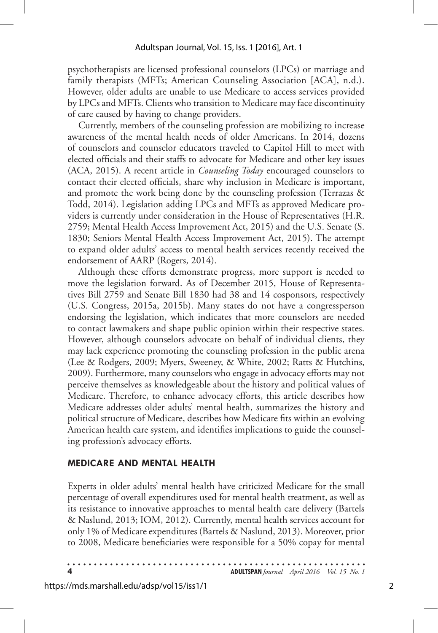psychotherapists are licensed professional counselors (LPCs) or marriage and family therapists (MFTs; American Counseling Association [ACA], n.d.). However, older adults are unable to use Medicare to access services provided by LPCs and MFTs. Clients who transition to Medicare may face discontinuity of care caused by having to change providers.

Currently, members of the counseling profession are mobilizing to increase awareness of the mental health needs of older Americans. In 2014, dozens of counselors and counselor educators traveled to Capitol Hill to meet with elected officials and their staffs to advocate for Medicare and other key issues (ACA, 2015). A recent article in *Counseling Today* encouraged counselors to contact their elected officials, share why inclusion in Medicare is important, and promote the work being done by the counseling profession (Terrazas & Todd, 2014). Legislation adding LPCs and MFTs as approved Medicare providers is currently under consideration in the House of Representatives (H.R. 2759; Mental Health Access Improvement Act, 2015) and the U.S. Senate (S. 1830; Seniors Mental Health Access Improvement Act, 2015). The attempt to expand older adults' access to mental health services recently received the endorsement of AARP (Rogers, 2014).

Although these efforts demonstrate progress, more support is needed to move the legislation forward. As of December 2015, House of Representatives Bill 2759 and Senate Bill 1830 had 38 and 14 cosponsors, respectively (U.S. Congress, 2015a, 2015b). Many states do not have a congressperson endorsing the legislation, which indicates that more counselors are needed to contact lawmakers and shape public opinion within their respective states. However, although counselors advocate on behalf of individual clients, they may lack experience promoting the counseling profession in the public arena (Lee & Rodgers, 2009; Myers, Sweeney, & White, 2002; Ratts & Hutchins, 2009). Furthermore, many counselors who engage in advocacy efforts may not perceive themselves as knowledgeable about the history and political values of Medicare. Therefore, to enhance advocacy efforts, this article describes how Medicare addresses older adults' mental health, summarizes the history and political structure of Medicare, describes how Medicare fits within an evolving American health care system, and identifies implications to guide the counseling profession's advocacy efforts.

# **Medicare and Mental Health**

Experts in older adults' mental health have criticized Medicare for the small percentage of overall expenditures used for mental health treatment, as well as its resistance to innovative approaches to mental health care delivery (Bartels & Naslund, 2013; IOM, 2012). Currently, mental health services account for only 1% of Medicare expenditures (Bartels & Naslund, 2013). Moreover, prior to 2008, Medicare beneficiaries were responsible for a 50% copay for mental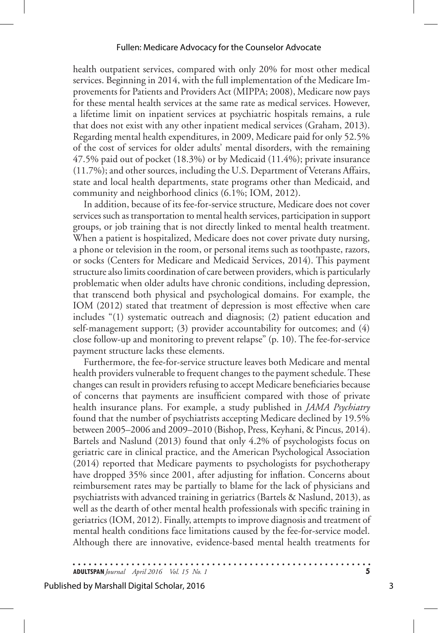health outpatient services, compared with only 20% for most other medical services. Beginning in 2014, with the full implementation of the Medicare Improvements for Patients and Providers Act (MIPPA; 2008), Medicare now pays for these mental health services at the same rate as medical services. However, a lifetime limit on inpatient services at psychiatric hospitals remains, a rule that does not exist with any other inpatient medical services (Graham, 2013). Regarding mental health expenditures, in 2009, Medicare paid for only 52.5% of the cost of services for older adults' mental disorders, with the remaining 47.5% paid out of pocket (18.3%) or by Medicaid (11.4%); private insurance (11.7%); and other sources, including the U.S. Department of Veterans Affairs, state and local health departments, state programs other than Medicaid, and community and neighborhood clinics (6.1%; IOM, 2012).

In addition, because of its fee-for-service structure, Medicare does not cover services such as transportation to mental health services, participation in support groups, or job training that is not directly linked to mental health treatment. When a patient is hospitalized, Medicare does not cover private duty nursing, a phone or television in the room, or personal items such as toothpaste, razors, or socks (Centers for Medicare and Medicaid Services, 2014). This payment structure also limits coordination of care between providers, which is particularly problematic when older adults have chronic conditions, including depression, that transcend both physical and psychological domains. For example, the IOM (2012) stated that treatment of depression is most effective when care includes "(1) systematic outreach and diagnosis; (2) patient education and self-management support; (3) provider accountability for outcomes; and (4) close follow-up and monitoring to prevent relapse" (p. 10). The fee-for-service payment structure lacks these elements.

Furthermore, the fee-for-service structure leaves both Medicare and mental health providers vulnerable to frequent changes to the payment schedule. These changes can result in providers refusing to accept Medicare beneficiaries because of concerns that payments are insufficient compared with those of private health insurance plans. For example, a study published in *JAMA Psychiatry* found that the number of psychiatrists accepting Medicare declined by 19.5% between 2005–2006 and 2009–2010 (Bishop, Press, Keyhani, & Pincus, 2014). Bartels and Naslund (2013) found that only 4.2% of psychologists focus on geriatric care in clinical practice, and the American Psychological Association (2014) reported that Medicare payments to psychologists for psychotherapy have dropped 35% since 2001, after adjusting for inflation. Concerns about reimbursement rates may be partially to blame for the lack of physicians and psychiatrists with advanced training in geriatrics (Bartels & Naslund, 2013), as well as the dearth of other mental health professionals with specific training in geriatrics (IOM, 2012). Finally, attempts to improve diagnosis and treatment of mental health conditions face limitations caused by the fee-for-service model. Although there are innovative, evidence-based mental health treatments for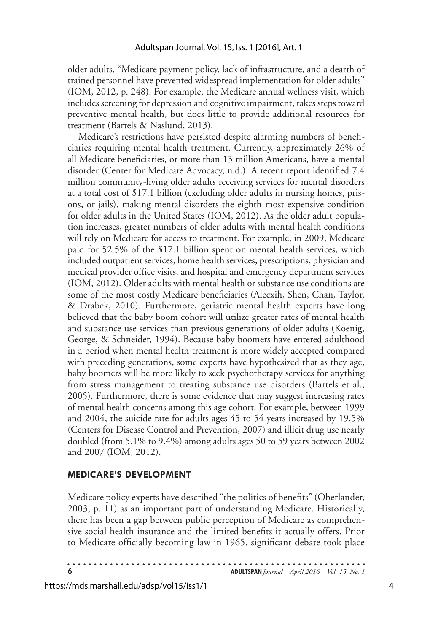older adults, "Medicare payment policy, lack of infrastructure, and a dearth of trained personnel have prevented widespread implementation for older adults" (IOM, 2012, p. 248). For example, the Medicare annual wellness visit, which includes screening for depression and cognitive impairment, takes steps toward preventive mental health, but does little to provide additional resources for treatment (Bartels & Naslund, 2013).

Medicare's restrictions have persisted despite alarming numbers of beneficiaries requiring mental health treatment. Currently, approximately 26% of all Medicare beneficiaries, or more than 13 million Americans, have a mental disorder (Center for Medicare Advocacy, n.d.). A recent report identified 7.4 million community-living older adults receiving services for mental disorders at a total cost of \$17.1 billion (excluding older adults in nursing homes, prisons, or jails), making mental disorders the eighth most expensive condition for older adults in the United States (IOM, 2012). As the older adult population increases, greater numbers of older adults with mental health conditions will rely on Medicare for access to treatment. For example, in 2009, Medicare paid for 52.5% of the \$17.1 billion spent on mental health services, which included outpatient services, home health services, prescriptions, physician and medical provider office visits, and hospital and emergency department services (IOM, 2012). Older adults with mental health or substance use conditions are some of the most costly Medicare beneficiaries (Alecxih, Shen, Chan, Taylor, & Drabek, 2010). Furthermore, geriatric mental health experts have long believed that the baby boom cohort will utilize greater rates of mental health and substance use services than previous generations of older adults (Koenig, George, & Schneider, 1994). Because baby boomers have entered adulthood in a period when mental health treatment is more widely accepted compared with preceding generations, some experts have hypothesized that as they age, baby boomers will be more likely to seek psychotherapy services for anything from stress management to treating substance use disorders (Bartels et al., 2005). Furthermore, there is some evidence that may suggest increasing rates of mental health concerns among this age cohort. For example, between 1999 and 2004, the suicide rate for adults ages 45 to 54 years increased by 19.5% (Centers for Disease Control and Prevention, 2007) and illicit drug use nearly doubled (from 5.1% to 9.4%) among adults ages 50 to 59 years between 2002 and 2007 (IOM, 2012).

# **Medicare's Development**

Medicare policy experts have described "the politics of benefits" (Oberlander, 2003, p. 11) as an important part of understanding Medicare. Historically, there has been a gap between public perception of Medicare as comprehensive social health insurance and the limited benefits it actually offers. Prior to Medicare officially becoming law in 1965, significant debate took place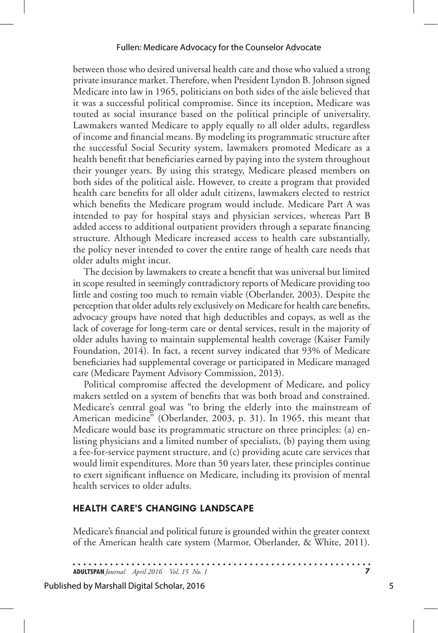#### Fullen: Medicare Advocacy for the Counselor Advocate

between those who desired universal health care and those who valued a strong private insurance market. Therefore, when President Lyndon B. Johnson signed Medicare into law in 1965, politicians on both sides of the aisle believed that it was a successful political compromise. Since its inception, Medicare was touted as social insurance based on the political principle of universality. Lawmakers wanted Medicare to apply equally to all older adults, regardless of income and financial means. By modeling its programmatic structure after the successful Social Security system, lawmakers promoted Medicare as a health benefit that beneficiaries earned by paying into the system throughout their younger years. By using this strategy, Medicare pleased members on both sides of the political aisle. However, to create a program that provided health care benefits for all older adult citizens, lawmakers elected to restrict which benefits the Medicare program would include. Medicare Part A was intended to pay for hospital stays and physician services, whereas Part B added access to additional outpatient providers through a separate financing structure. Although Medicare increased access to health care substantially, the policy never intended to cover the entire range of health care needs that older adults might incur.

The decision by lawmakers to create a benefit that was universal but limited in scope resulted in seemingly contradictory reports of Medicare providing too little and costing too much to remain viable (Oberlander, 2003). Despite the perception that older adults rely exclusively on Medicare for health care benefits, advocacy groups have noted that high deductibles and copays, as well as the lack of coverage for long-term care or dental services, result in the majority of older adults having to maintain supplemental health coverage (Kaiser Family Foundation, 2014). In fact, a recent survey indicated that 93% of Medicare beneficiaries had supplemental coverage or participated in Medicare managed care (Medicare Payment Advisory Commission, 2013).

Political compromise affected the development of Medicare, and policy makers settled on a system of benefits that was both broad and constrained. Medicare's central goal was "to bring the elderly into the mainstream of American medicine" (Oberlander, 2003, p. 31). In 1965, this meant that Medicare would base its programmatic structure on three principles: (a) enlisting physicians and a limited number of specialists, (b) paying them using a fee-for-service payment structure, and (c) providing acute care services that would limit expenditures. More than 50 years later, these principles continue to exert significant influence on Medicare, including its provision of mental health services to older adults.

#### **Health Care's Changing Landscape**

Medicare's financial and political future is grounded within the greater context of the American health care system (Marmor, Oberlander, & White, 2011).

**ADULTSPAN***Journal April 2016 Vol. 15 No. 1* **7**

Published by Marshall Digital Scholar, 2016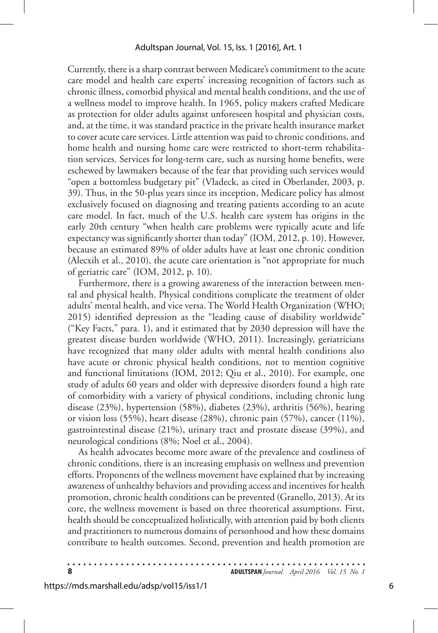Currently, there is a sharp contrast between Medicare's commitment to the acute care model and health care experts' increasing recognition of factors such as chronic illness, comorbid physical and mental health conditions, and the use of a wellness model to improve health. In 1965, policy makers crafted Medicare as protection for older adults against unforeseen hospital and physician costs, and, at the time, it was standard practice in the private health insurance market to cover acute care services. Little attention was paid to chronic conditions, and home health and nursing home care were restricted to short-term rehabilitation services. Services for long-term care, such as nursing home benefits, were eschewed by lawmakers because of the fear that providing such services would "open a bottomless budgetary pit" (Vladeck, as cited in Oberlander, 2003, p. 39). Thus, in the 50-plus years since its inception, Medicare policy has almost exclusively focused on diagnosing and treating patients according to an acute care model. In fact, much of the U.S. health care system has origins in the early 20th century "when health care problems were typically acute and life expectancy was significantly shorter than today" (IOM, 2012, p. 10). However, because an estimated 89% of older adults have at least one chronic condition (Alecxih et al., 2010), the acute care orientation is "not appropriate for much of geriatric care" (IOM, 2012, p. 10).

Furthermore, there is a growing awareness of the interaction between mental and physical health. Physical conditions complicate the treatment of older adults' mental health, and vice versa. The World Health Organization (WHO; 2015) identified depression as the "leading cause of disability worldwide" ("Key Facts," para. 1), and it estimated that by 2030 depression will have the greatest disease burden worldwide (WHO, 2011). Increasingly, geriatricians have recognized that many older adults with mental health conditions also have acute or chronic physical health conditions, not to mention cognitive and functional limitations (IOM, 2012; Qiu et al., 2010). For example, one study of adults 60 years and older with depressive disorders found a high rate of comorbidity with a variety of physical conditions, including chronic lung disease (23%), hypertension (58%), diabetes (23%), arthritis (56%), hearing or vision loss (55%), heart disease (28%), chronic pain (57%), cancer (11%), gastrointestinal disease (21%), urinary tract and prostate disease (39%), and neurological conditions (8%; Noel et al., 2004).

As health advocates become more aware of the prevalence and costliness of chronic conditions, there is an increasing emphasis on wellness and prevention efforts. Proponents of the wellness movement have explained that by increasing awareness of unhealthy behaviors and providing access and incentives for health promotion, chronic health conditions can be prevented (Granello, 2013). At its core, the wellness movement is based on three theoretical assumptions. First, health should be conceptualized holistically, with attention paid by both clients and practitioners to numerous domains of personhood and how these domains contribute to health outcomes. Second, prevention and health promotion are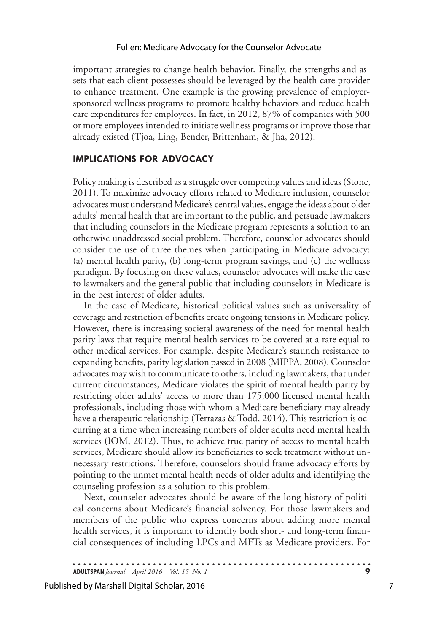important strategies to change health behavior. Finally, the strengths and assets that each client possesses should be leveraged by the health care provider to enhance treatment. One example is the growing prevalence of employersponsored wellness programs to promote healthy behaviors and reduce health care expenditures for employees. In fact, in 2012, 87% of companies with 500 or more employees intended to initiate wellness programs or improve those that already existed (Tjoa, Ling, Bender, Brittenham, & Jha, 2012).

# **Implications for Advocacy**

Policy making is described as a struggle over competing values and ideas (Stone, 2011). To maximize advocacy efforts related to Medicare inclusion, counselor advocates must understand Medicare's central values, engage the ideas about older adults' mental health that are important to the public, and persuade lawmakers that including counselors in the Medicare program represents a solution to an otherwise unaddressed social problem. Therefore, counselor advocates should consider the use of three themes when participating in Medicare advocacy: (a) mental health parity, (b) long-term program savings, and (c) the wellness paradigm. By focusing on these values, counselor advocates will make the case to lawmakers and the general public that including counselors in Medicare is in the best interest of older adults.

In the case of Medicare, historical political values such as universality of coverage and restriction of benefits create ongoing tensions in Medicare policy. However, there is increasing societal awareness of the need for mental health parity laws that require mental health services to be covered at a rate equal to other medical services. For example, despite Medicare's staunch resistance to expanding benefits, parity legislation passed in 2008 (MIPPA, 2008). Counselor advocates may wish to communicate to others, including lawmakers, that under current circumstances, Medicare violates the spirit of mental health parity by restricting older adults' access to more than 175,000 licensed mental health professionals, including those with whom a Medicare beneficiary may already have a therapeutic relationship (Terrazas & Todd, 2014). This restriction is occurring at a time when increasing numbers of older adults need mental health services (IOM, 2012). Thus, to achieve true parity of access to mental health services, Medicare should allow its beneficiaries to seek treatment without unnecessary restrictions. Therefore, counselors should frame advocacy efforts by pointing to the unmet mental health needs of older adults and identifying the counseling profession as a solution to this problem.

Next, counselor advocates should be aware of the long history of political concerns about Medicare's financial solvency. For those lawmakers and members of the public who express concerns about adding more mental health services, it is important to identify both short- and long-term financial consequences of including LPCs and MFTs as Medicare providers. For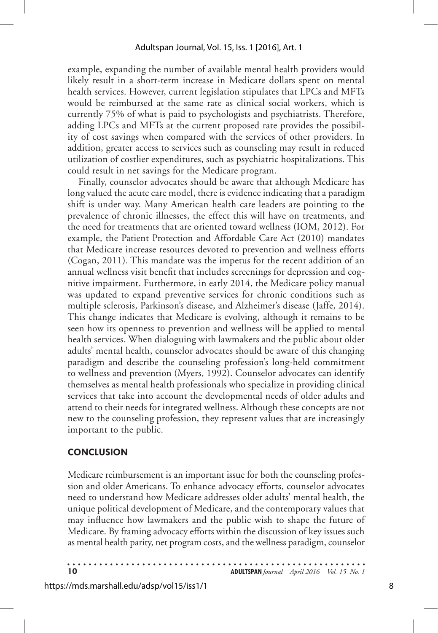example, expanding the number of available mental health providers would likely result in a short-term increase in Medicare dollars spent on mental health services. However, current legislation stipulates that LPCs and MFTs would be reimbursed at the same rate as clinical social workers, which is currently 75% of what is paid to psychologists and psychiatrists. Therefore, adding LPCs and MFTs at the current proposed rate provides the possibility of cost savings when compared with the services of other providers. In addition, greater access to services such as counseling may result in reduced utilization of costlier expenditures, such as psychiatric hospitalizations. This could result in net savings for the Medicare program.

Finally, counselor advocates should be aware that although Medicare has long valued the acute care model, there is evidence indicating that a paradigm shift is under way. Many American health care leaders are pointing to the prevalence of chronic illnesses, the effect this will have on treatments, and the need for treatments that are oriented toward wellness (IOM, 2012). For example, the Patient Protection and Affordable Care Act (2010) mandates that Medicare increase resources devoted to prevention and wellness efforts (Cogan, 2011). This mandate was the impetus for the recent addition of an annual wellness visit benefit that includes screenings for depression and cognitive impairment. Furthermore, in early 2014, the Medicare policy manual was updated to expand preventive services for chronic conditions such as multiple sclerosis, Parkinson's disease, and Alzheimer's disease (Jaffe, 2014). This change indicates that Medicare is evolving, although it remains to be seen how its openness to prevention and wellness will be applied to mental health services. When dialoguing with lawmakers and the public about older adults' mental health, counselor advocates should be aware of this changing paradigm and describe the counseling profession's long-held commitment to wellness and prevention (Myers, 1992). Counselor advocates can identify themselves as mental health professionals who specialize in providing clinical services that take into account the developmental needs of older adults and attend to their needs for integrated wellness. Although these concepts are not new to the counseling profession, they represent values that are increasingly important to the public.

# **Conclusion**

Medicare reimbursement is an important issue for both the counseling profession and older Americans. To enhance advocacy efforts, counselor advocates need to understand how Medicare addresses older adults' mental health, the unique political development of Medicare, and the contemporary values that may influence how lawmakers and the public wish to shape the future of Medicare. By framing advocacy efforts within the discussion of key issues such as mental health parity, net program costs, and the wellness paradigm, counselor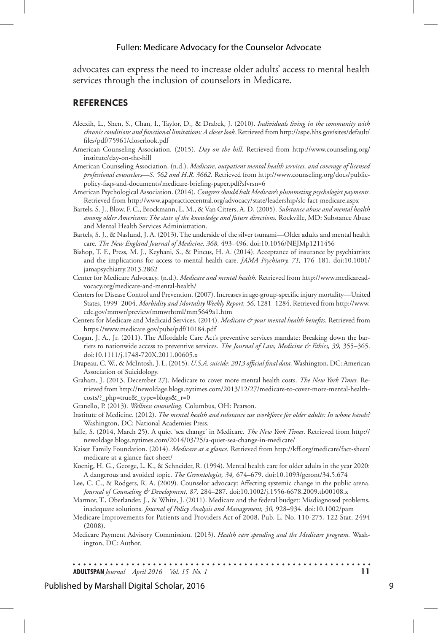#### Fullen: Medicare Advocacy for the Counselor Advocate

advocates can express the need to increase older adults' access to mental health services through the inclusion of counselors in Medicare.

#### **References**

- Alecxih, L., Shen, S., Chan, I., Taylor, D., & Drabek, J. (2010). *Individuals living in the community with chronic conditions and functional limitations: A closer look.* Retrieved from http://aspe.hhs.gov/sites/default/ files/pdf/75961/closerlook.pdf
- American Counseling Association. (2015). *Day on the hill.* Retrieved from http://www.counseling.org/ institute/day-on-the-hill
- American Counseling Association. (n.d.). *Medicare, outpatient mental health services, and coverage of licensed professional counselors—S. 562 and H.R. 3662.* Retrieved from http://www.counseling.org/docs/publicpolicy-faqs-and-documents/medicare-briefing-paper.pdf?sfvrsn=6
- American Psychological Association. (2014). *Congress should halt Medicare's plummeting psychologist payments.*  Retrieved from http://www.apapracticecentral.org/advocacy/state/leadership/slc-fact-medicare.aspx
- Bartels, S. J., Blow, F. C., Brockmann, L. M., & Van Citters, A. D. (2005). *Substance abuse and mental health among older Americans: The state of the knowledge and future directions.* Rockville, MD: Substance Abuse and Mental Health Services Administration.
- Bartels, S. J., & Naslund, J. A. (2013). The underside of the silver tsunami—Older adults and mental health care. *The New England Journal of Medicine, 368,* 493–496. doi:10.1056/NEJMp1211456
- Bishop, T. F., Press, M. J., Keyhani, S., & Pincus, H. A. (2014). Acceptance of insurance by psychiatrists and the implications for access to mental health care. *JAMA Psychiatry, 71,* 176–181. doi:10.1001/ jamapsychiatry.2013.2862
- Center for Medicare Advocacy. (n.d.). *Medicare and mental health.* Retrieved from http://www.medicareadvocacy.org/medicare-and-mental-health/
- Centers for Disease Control and Prevention. (2007). Increases in age-group-specific injury mortality—United States, 1999–2004. *Morbidity and Mortality Weekly Report, 56,* 1281–1284. Retrieved from http://www. cdc.gov/mmwr/preview/mmwrhtml/mm5649a1.htm
- Centers for Medicare and Medicaid Services. (2014). *Medicare & your mental health benefits.* Retrieved from https://www.medicare.gov/pubs/pdf/10184.pdf
- Cogan, J. A., Jr. (2011). The Affordable Care Act's preventive services mandate: Breaking down the barriers to nationwide access to preventive services. *The Journal of Law, Medicine & Ethics, 39,* 355–365. doi:10.1111/j.1748-720X.2011.00605.x
- Drapeau, C. W., & McIntosh, J. L. (2015). *U.S.A. suicide: 2013 official final data.* Washington, DC: American Association of Suicidology.
- Graham, J. (2013, December 27). Medicare to cover more mental health costs. *The New York Times.* Retrieved from http://newoldage.blogs.nytimes.com/2013/12/27/medicare-to-cover-more-mental-healthcosts/?\_php=true&\_type=blogs&\_r=0
- Granello, P. (2013). *Wellness counseling.* Columbus, OH: Pearson.
- Institute of Medicine. (2012). *The mental health and substance use workforce for older adults: In whose hands?* Washington, DC: National Academies Press.
- Jaffe, S. (2014, March 25). A quiet 'sea change' in Medicare. *The New York Times*. Retrieved from http:// newoldage.blogs.nytimes.com/2014/03/25/a-quiet-sea-change-in-medicare/
- Kaiser Family Foundation. (2014). *Medicare at a glance.* Retrieved from http://kff.org/medicare/fact-sheet/ medicare-at-a-glance-fact-sheet/
- Koenig, H. G., George, L. K., & Schneider, R. (1994). Mental health care for older adults in the year 2020: A dangerous and avoided topic. *The Gerontologist, 34,* 674–679. doi:10.1093/geront/34.5.674
- Lee, C. C., & Rodgers, R. A. (2009). Counselor advocacy: Affecting systemic change in the public arena. *Journal of Counseling & Development, 87,* 284–287. doi:10.1002/j.1556-6678.2009.tb00108.x
- Marmor, T., Oberlander, J., & White, J. (2011). Medicare and the federal budget: Misdiagnosed problems, inadequate solutions. *Journal of Policy Analysis and Management, 30,* 928–934. doi:10.1002/pam
- Medicare Improvements for Patients and Providers Act of 2008, Pub. L. No. 110-275, 122 Stat. 2494 (2008).
- Medicare Payment Advisory Commission. (2013). *Health care spending and the Medicare program.* Washington, DC: Author.

. . . . . . . . . . . . . . . . . **ADULTSPAN***Journal April 2016 Vol. 15 No. 1* **11**

#### Published by Marshall Digital Scholar, 2016